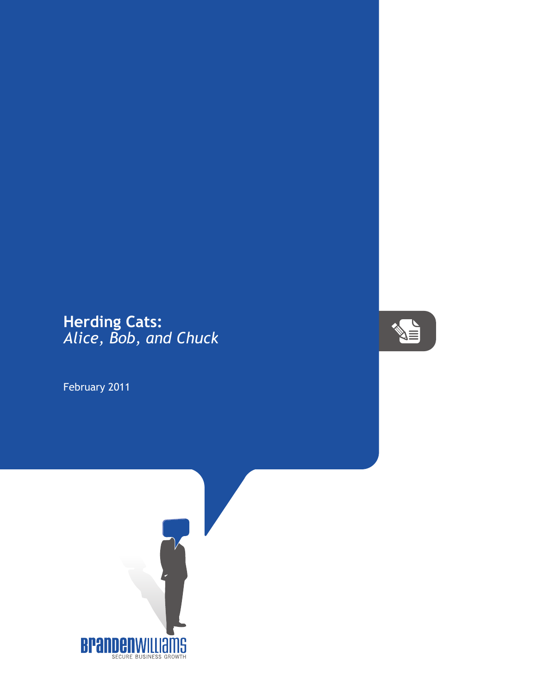## **Herding Cats:** *Alice, Bob, and Chuck*

February 2011



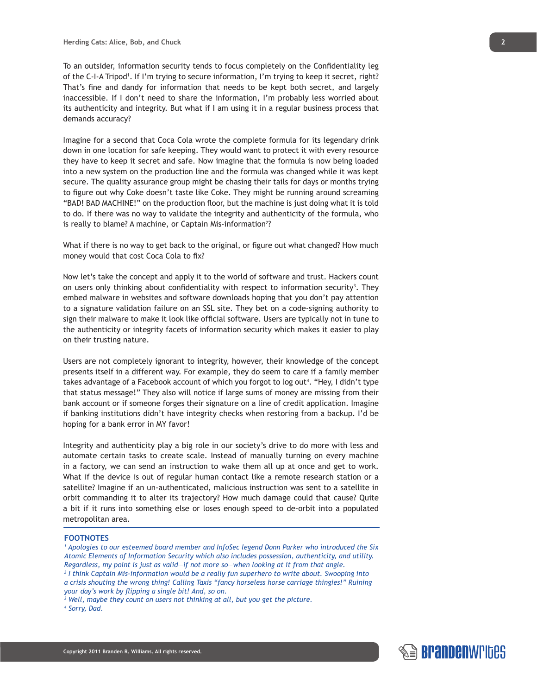To an outsider, information security tends to focus completely on the Confidentiality leg of the C-I-A Tripod1 . If I'm trying to secure information, I'm trying to keep it secret, right? That's fine and dandy for information that needs to be kept both secret, and largely inaccessible. If I don't need to share the information, I'm probably less worried about its authenticity and integrity. But what if I am using it in a regular business process that demands accuracy?

Imagine for a second that Coca Cola wrote the complete formula for its legendary drink down in one location for safe keeping. They would want to protect it with every resource they have to keep it secret and safe. Now imagine that the formula is now being loaded into a new system on the production line and the formula was changed while it was kept secure. The quality assurance group might be chasing their tails for days or months trying to figure out why Coke doesn't taste like Coke. They might be running around screaming "BAD! BAD MACHINE!" on the production floor, but the machine is just doing what it is told to do. If there was no way to validate the integrity and authenticity of the formula, who is really to blame? A machine, or Captain Mis-information<sup>2</sup>?

What if there is no way to get back to the original, or figure out what changed? How much money would that cost Coca Cola to fix?

Now let's take the concept and apply it to the world of software and trust. Hackers count on users only thinking about confidentiality with respect to information security<sup>3</sup>. They embed malware in websites and software downloads hoping that you don't pay attention to a signature validation failure on an SSL site. They bet on a code-signing authority to sign their malware to make it look like official software. Users are typically not in tune to the authenticity or integrity facets of information security which makes it easier to play on their trusting nature.

Users are not completely ignorant to integrity, however, their knowledge of the concept presents itself in a different way. For example, they do seem to care if a family member takes advantage of a Facebook account of which you forgot to log out4 . "Hey, I didn't type that status message!" They also will notice if large sums of money are missing from their bank account or if someone forges their signature on a line of credit application. Imagine if banking institutions didn't have integrity checks when restoring from a backup. I'd be hoping for a bank error in MY favor!

Integrity and authenticity play a big role in our society's drive to do more with less and automate certain tasks to create scale. Instead of manually turning on every machine in a factory, we can send an instruction to wake them all up at once and get to work. What if the device is out of regular human contact like a remote research station or a satellite? Imagine if an un-authenticated, malicious instruction was sent to a satellite in orbit commanding it to alter its trajectory? How much damage could that cause? Quite a bit if it runs into something else or loses enough speed to de-orbit into a populated metropolitan area.

## **FOOTNOTES**

*1 Apologies to our esteemed board member and InfoSec legend Donn Parker who introduced the Six Atomic Elements of Information Security which also includes possession, authenticity, and utility. Regardless, my point is just as valid—if not more so—when looking at it from that angle. 2 I think Captain Mis-information would be a really fun superhero to write about. Swooping into a crisis shouting the wrong thing! Calling Taxis "fancy horseless horse carriage thingies!" Ruining your day's work by flipping a single bit! And, so on.*

*3 Well, maybe they count on users not thinking at all, but you get the picture.*

*4 Sorry, Dad.*

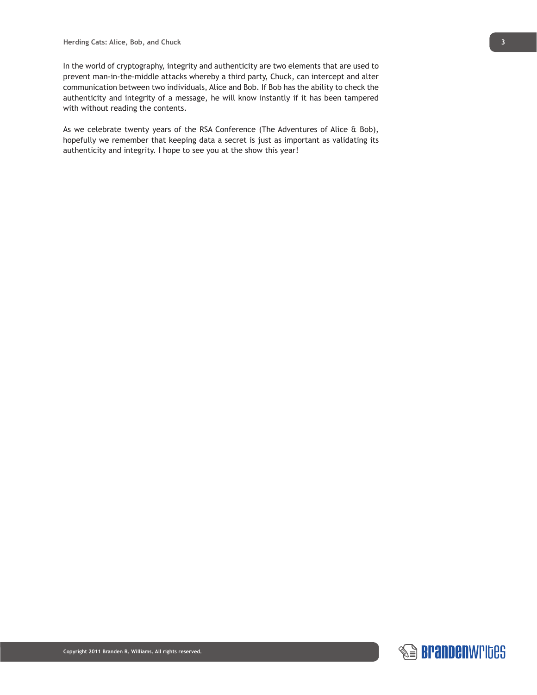In the world of cryptography, integrity and authenticity are two elements that are used to prevent man-in-the-middle attacks whereby a third party, Chuck, can intercept and alter communication between two individuals, Alice and Bob. If Bob has the ability to check the authenticity and integrity of a message, he will know instantly if it has been tampered with without reading the contents.

As we celebrate twenty years of the RSA Conference (The Adventures of Alice & Bob), hopefully we remember that keeping data a secret is just as important as validating its authenticity and integrity. I hope to see you at the show this year!